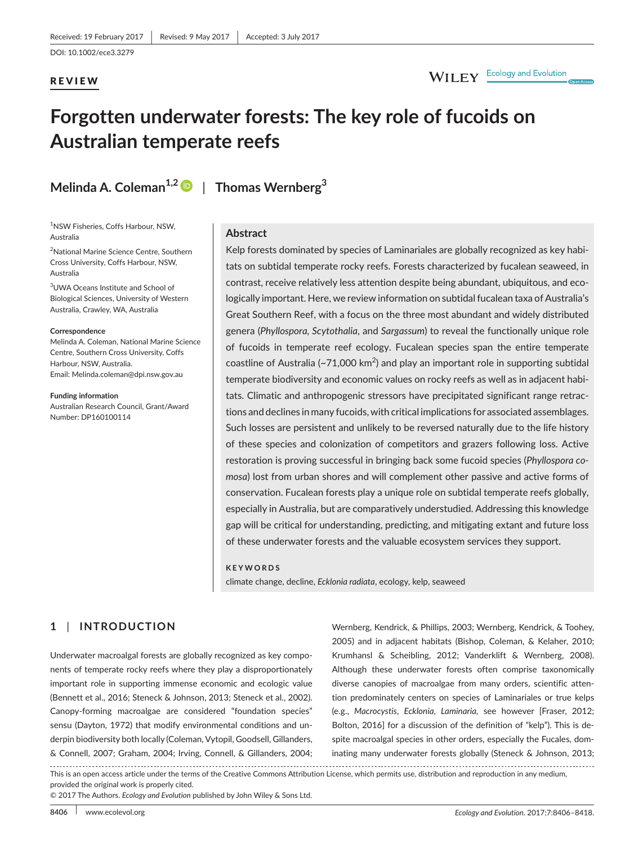### REVIEW

# WILEY Ecology and Evolution

# **Forgotten underwater forests: The key role of fucoids on Australian temperate reefs**

**Melinda A. Coleman1,[2](http://orcid.org/0000-0003-2623-633X)** | **Thomas Wernberg<sup>3</sup>**

1 NSW Fisheries, Coffs Harbour, NSW, Australia

<sup>2</sup>National Marine Science Centre, Southern Cross University, Coffs Harbour, NSW, Australia

3 UWA Oceans Institute and School of Biological Sciences, University of Western Australia, Crawley, WA, Australia

#### **Correspondence**

Melinda A. Coleman, National Marine Science Centre, Southern Cross University, Coffs Harbour, NSW, Australia. Email: [Melinda.coleman@dpi.nsw.gov.au](mailto:Melinda.coleman@dpi.nsw.gov.au)

**Funding information** Australian Research Council, Grant/Award Number: DP160100114

#### **Abstract**

Kelp forests dominated by species of Laminariales are globally recognized as key habitats on subtidal temperate rocky reefs. Forests characterized by fucalean seaweed, in contrast, receive relatively less attention despite being abundant, ubiquitous, and ecologically important. Here, we review information on subtidal fucalean taxa of Australia's Great Southern Reef, with a focus on the three most abundant and widely distributed genera (*Phyllospora, Scytothalia*, and *Sargassum*) to reveal the functionally unique role of fucoids in temperate reef ecology. Fucalean species span the entire temperate coastline of Australia (~71,000 km<sup>2</sup>) and play an important role in supporting subtidal temperate biodiversity and economic values on rocky reefs as well as in adjacent habitats. Climatic and anthropogenic stressors have precipitated significant range retractions and declines in many fucoids, with critical implications for associated assemblages. Such losses are persistent and unlikely to be reversed naturally due to the life history of these species and colonization of competitors and grazers following loss. Active restoration is proving successful in bringing back some fucoid species (*Phyllospora comosa*) lost from urban shores and will complement other passive and active forms of conservation. Fucalean forests play a unique role on subtidal temperate reefs globally, especially in Australia, but are comparatively understudied. Addressing this knowledge gap will be critical for understanding, predicting, and mitigating extant and future loss of these underwater forests and the valuable ecosystem services they support.

#### **KEYWORDS**

climate change, decline, *Ecklonia radiata*, ecology, kelp, seaweed

## **1** | **INTRODUCTION**

Underwater macroalgal forests are globally recognized as key components of temperate rocky reefs where they play a disproportionately important role in supporting immense economic and ecologic value (Bennett et al., 2016; Steneck & Johnson, 2013; Steneck et al., 2002). Canopy-forming macroalgae are considered "foundation species" sensu (Dayton, 1972) that modify environmental conditions and underpin biodiversity both locally (Coleman, Vytopil, Goodsell, Gillanders, & Connell, 2007; Graham, 2004; Irving, Connell, & Gillanders, 2004;

Wernberg, Kendrick, & Phillips, 2003; Wernberg, Kendrick, & Toohey, 2005) and in adjacent habitats (Bishop, Coleman, & Kelaher, 2010; Krumhansl & Scheibling, 2012; Vanderklift & Wernberg, 2008). Although these underwater forests often comprise taxonomically diverse canopies of macroalgae from many orders, scientific attention predominately centers on species of Laminariales or true kelps (e.g., *Macrocystis*, *Ecklonia*, *Laminaria,* see however [Fraser, 2012; Bolton, 2016] for a discussion of the definition of "kelp"). This is despite macroalgal species in other orders, especially the Fucales, dominating many underwater forests globally (Steneck & Johnson, 2013;

This is an open access article under the terms of the [Creative Commons Attribution](http://creativecommons.org/licenses/by/4.0/) License, which permits use, distribution and reproduction in any medium, provided the original work is properly cited.

© 2017 The Authors. *Ecology and Evolution* published by John Wiley & Sons Ltd.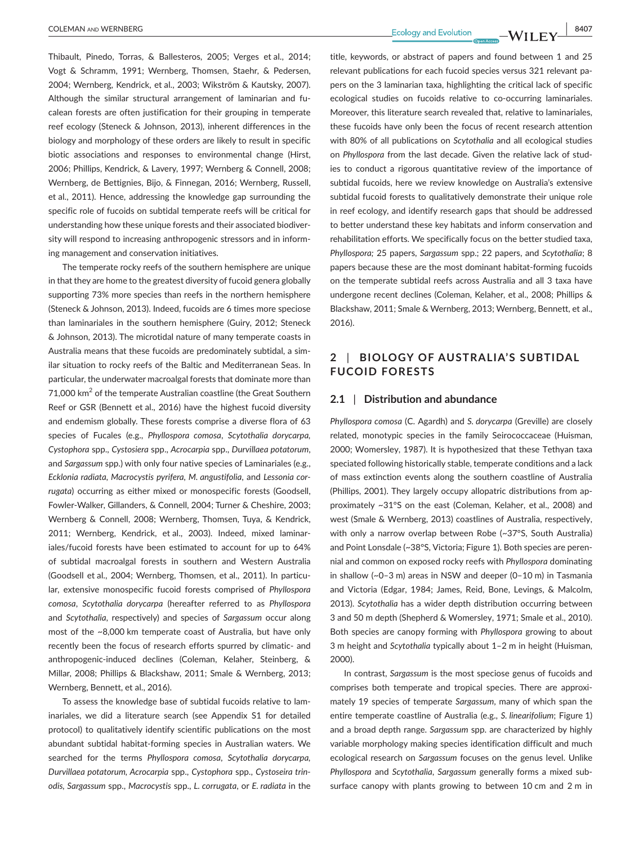Thibault, Pinedo, Torras, & Ballesteros, 2005; Verges et al., 2014; Vogt & Schramm, 1991; Wernberg, Thomsen, Staehr, & Pedersen, 2004; Wernberg, Kendrick, et al., 2003; Wikström & Kautsky, 2007). Although the similar structural arrangement of laminarian and fucalean forests are often justification for their grouping in temperate reef ecology (Steneck & Johnson, 2013), inherent differences in the biology and morphology of these orders are likely to result in specific biotic associations and responses to environmental change (Hirst, 2006; Phillips, Kendrick, & Lavery, 1997; Wernberg & Connell, 2008; Wernberg, de Bettignies, Bijo, & Finnegan, 2016; Wernberg, Russell, et al., 2011). Hence, addressing the knowledge gap surrounding the specific role of fucoids on subtidal temperate reefs will be critical for understanding how these unique forests and their associated biodiversity will respond to increasing anthropogenic stressors and in informing management and conservation initiatives.

The temperate rocky reefs of the southern hemisphere are unique in that they are home to the greatest diversity of fucoid genera globally supporting 73% more species than reefs in the northern hemisphere (Steneck & Johnson, 2013). Indeed, fucoids are 6 times more speciose than laminariales in the southern hemisphere (Guiry, 2012; Steneck & Johnson, 2013). The microtidal nature of many temperate coasts in Australia means that these fucoids are predominately subtidal, a similar situation to rocky reefs of the Baltic and Mediterranean Seas. In particular, the underwater macroalgal forests that dominate more than 71,000  $\mathrm{km}^2$  of the temperate Australian coastline (the Great Southern Reef or GSR (Bennett et al., 2016) have the highest fucoid diversity and endemism globally. These forests comprise a diverse flora of 63 species of Fucales (e.g., *Phyllospora comosa*, *Scytothalia dorycarpa, Cystophora* spp., *Cystosiera* spp., *Acrocarpia* spp., *Durvillaea potatorum*, and *Sargassum* spp.) with only four native species of Laminariales (e.g., *Ecklonia radiata, Macrocystis pyrifera, M. angustifolia*, and *Lessonia corrugata*) occurring as either mixed or monospecific forests (Goodsell, Fowler-Walker, Gillanders, & Connell, 2004; Turner & Cheshire, 2003; Wernberg & Connell, 2008; Wernberg, Thomsen, Tuya, & Kendrick, 2011; Wernberg, Kendrick, et al., 2003). Indeed, mixed laminariales/fucoid forests have been estimated to account for up to 64% of subtidal macroalgal forests in southern and Western Australia (Goodsell et al., 2004; Wernberg, Thomsen, et al., 2011). In particular, extensive monospecific fucoid forests comprised of *Phyllospora comosa*, *Scytothalia dorycarpa* (hereafter referred to as *Phyllospora* and *Scytothalia*, respectively) and species of *Sargassum* occur along most of the ~8,000 km temperate coast of Australia, but have only recently been the focus of research efforts spurred by climatic- and anthropogenic-induced declines (Coleman, Kelaher, Steinberg, & Millar, 2008; Phillips & Blackshaw, 2011; Smale & Wernberg, 2013; Wernberg, Bennett, et al., 2016).

To assess the knowledge base of subtidal fucoids relative to laminariales, we did a literature search (see Appendix S1 for detailed protocol) to qualitatively identify scientific publications on the most abundant subtidal habitat-forming species in Australian waters. We searched for the terms *Phyllospora comosa*, *Scytothalia dorycarpa, Durvillaea potatorum, Acrocarpia* spp., *Cystophora* spp., *Cystoseira trinodis, Sargassum* spp., *Macrocystis* spp., *L. corrugata*, or *E. radiata* in the

title, keywords, or abstract of papers and found between 1 and 25 relevant publications for each fucoid species versus 321 relevant papers on the 3 laminarian taxa, highlighting the critical lack of specific ecological studies on fucoids relative to co-occurring laminariales. Moreover, this literature search revealed that, relative to laminariales, these fucoids have only been the focus of recent research attention with 80% of all publications on *Scytothalia* and all ecological studies on *Phyllospora* from the last decade. Given the relative lack of studies to conduct a rigorous quantitative review of the importance of subtidal fucoids, here we review knowledge on Australia's extensive subtidal fucoid forests to qualitatively demonstrate their unique role in reef ecology, and identify research gaps that should be addressed to better understand these key habitats and inform conservation and rehabilitation efforts. We specifically focus on the better studied taxa, *Phyllospora;* 25 papers, *Sargassum* spp.; 22 papers, and *Scytothalia*; 8 papers because these are the most dominant habitat-forming fucoids on the temperate subtidal reefs across Australia and all 3 taxa have undergone recent declines (Coleman, Kelaher, et al., 2008; Phillips & Blackshaw, 2011; Smale & Wernberg, 2013; Wernberg, Bennett, et al., 2016).

## **2** | **BIOLOGY OF AUSTRALIA'S SUBTIDAL FUCOID FORESTS**

#### **2.1** | **Distribution and abundance**

*Phyllospora comosa* (C. Agardh) and *S. dorycarpa* (Greville) are closely related, monotypic species in the family Seirococcaceae (Huisman, 2000; Womersley, 1987). It is hypothesized that these Tethyan taxa speciated following historically stable, temperate conditions and a lack of mass extinction events along the southern coastline of Australia (Phillips, 2001). They largely occupy allopatric distributions from approximately ~31°S on the east (Coleman, Kelaher, et al., 2008) and west (Smale & Wernberg, 2013) coastlines of Australia, respectively, with only a narrow overlap between Robe (~37°S, South Australia) and Point Lonsdale (~38°S, Victoria; Figure 1). Both species are perennial and common on exposed rocky reefs with *Phyllospora* dominating in shallow (~0–3 m) areas in NSW and deeper (0–10 m) in Tasmania and Victoria (Edgar, 1984; James, Reid, Bone, Levings, & Malcolm, 2013). *Scytothalia* has a wider depth distribution occurring between 3 and 50 m depth (Shepherd & Womersley, 1971; Smale et al., 2010). Both species are canopy forming with *Phyllospora* growing to about 3 m height and *Scytothalia* typically about 1–2 m in height (Huisman, 2000).

In contrast, *Sargassum* is the most speciose genus of fucoids and comprises both temperate and tropical species. There are approximately 19 species of temperate *Sargassum*, many of which span the entire temperate coastline of Australia (e.g., *S. linearifolium*; Figure 1) and a broad depth range. *Sargassum* spp. are characterized by highly variable morphology making species identification difficult and much ecological research on *Sargassum* focuses on the genus level. Unlike *Phyllospora* and *Scytothalia*, *Sargassum* generally forms a mixed subsurface canopy with plants growing to between 10 cm and 2 m in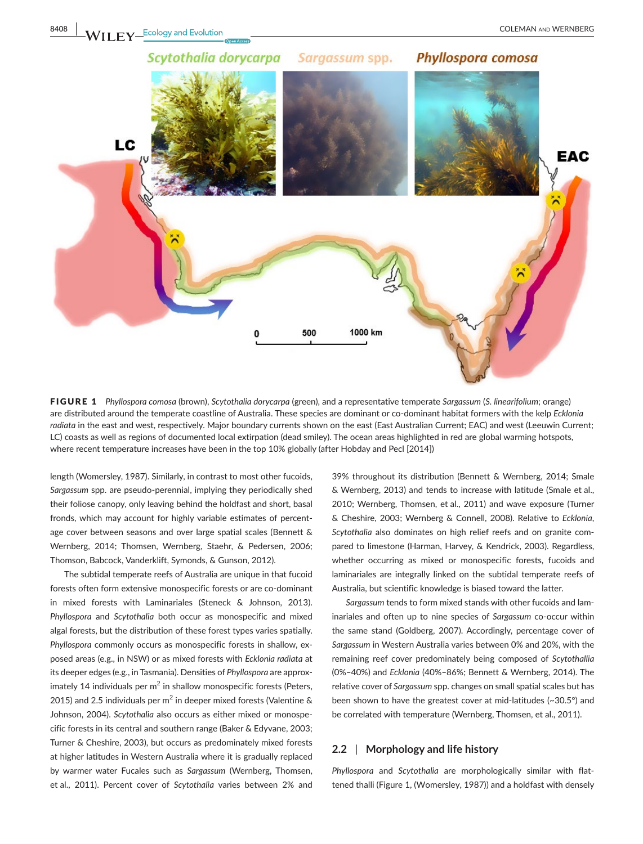

FIGURE 1 *Phyllospora comosa* (brown), *Scytothalia dorycarpa* (green), and a representative temperate *Sargassum* (*S. linearifolium*; orange) are distributed around the temperate coastline of Australia. These species are dominant or co-dominant habitat formers with the kelp *Ecklonia radiata* in the east and west, respectively. Major boundary currents shown on the east (East Australian Current; EAC) and west (Leeuwin Current; LC) coasts as well as regions of documented local extirpation (dead smiley). The ocean areas highlighted in red are global warming hotspots, where recent temperature increases have been in the top 10% globally (after Hobday and Pecl [2014])

length (Womersley, 1987). Similarly, in contrast to most other fucoids, *Sargassum* spp. are pseudo-perennial, implying they periodically shed their foliose canopy, only leaving behind the holdfast and short, basal fronds, which may account for highly variable estimates of percentage cover between seasons and over large spatial scales (Bennett & Wernberg, 2014; Thomsen, Wernberg, Staehr, & Pedersen, 2006; Thomson, Babcock, Vanderklift, Symonds, & Gunson, 2012).

The subtidal temperate reefs of Australia are unique in that fucoid forests often form extensive monospecific forests or are co-dominant in mixed forests with Laminariales (Steneck & Johnson, 2013). *Phyllospora* and *Scytothalia* both occur as monospecific and mixed algal forests, but the distribution of these forest types varies spatially. *Phyllospora* commonly occurs as monospecific forests in shallow, exposed areas (e.g., in NSW) or as mixed forests with *Ecklonia radiata* at its deeper edges (e.g., in Tasmania). Densities of *Phyllospora* are approximately 14 individuals per  $m^2$  in shallow monospecific forests (Peters, 2015) and 2.5 individuals per m<sup>2</sup> in deeper mixed forests (Valentine & Johnson, 2004). *Scytothalia* also occurs as either mixed or monospecific forests in its central and southern range (Baker & Edyvane, 2003; Turner & Cheshire, 2003), but occurs as predominately mixed forests at higher latitudes in Western Australia where it is gradually replaced by warmer water Fucales such as *Sargassum* (Wernberg, Thomsen, et al., 2011). Percent cover of *Scytothalia* varies between 2% and

39% throughout its distribution (Bennett & Wernberg, 2014; Smale & Wernberg, 2013) and tends to increase with latitude (Smale et al., 2010; Wernberg, Thomsen, et al., 2011) and wave exposure (Turner & Cheshire, 2003; Wernberg & Connell, 2008). Relative to *Ecklonia*, *Scytothalia* also dominates on high relief reefs and on granite compared to limestone (Harman, Harvey, & Kendrick, 2003). Regardless, whether occurring as mixed or monospecific forests, fucoids and laminariales are integrally linked on the subtidal temperate reefs of Australia, but scientific knowledge is biased toward the latter.

*Sargassum* tends to form mixed stands with other fucoids and laminariales and often up to nine species of *Sargassum* co-occur within the same stand (Goldberg, 2007). Accordingly, percentage cover of *Sargassum* in Western Australia varies between 0% and 20%, with the remaining reef cover predominately being composed of *Scytothallia* (0%–40%) and *Ecklonia* (40%–86%; Bennett & Wernberg, 2014). The relative cover of *Sargassum* spp. changes on small spatial scales but has been shown to have the greatest cover at mid-latitudes (~30.5°) and be correlated with temperature (Wernberg, Thomsen, et al., 2011).

#### **2.2** | **Morphology and life history**

*Phyllospora* and *Scytothalia* are morphologically similar with flattened thalli (Figure 1, (Womersley, 1987)) and a holdfast with densely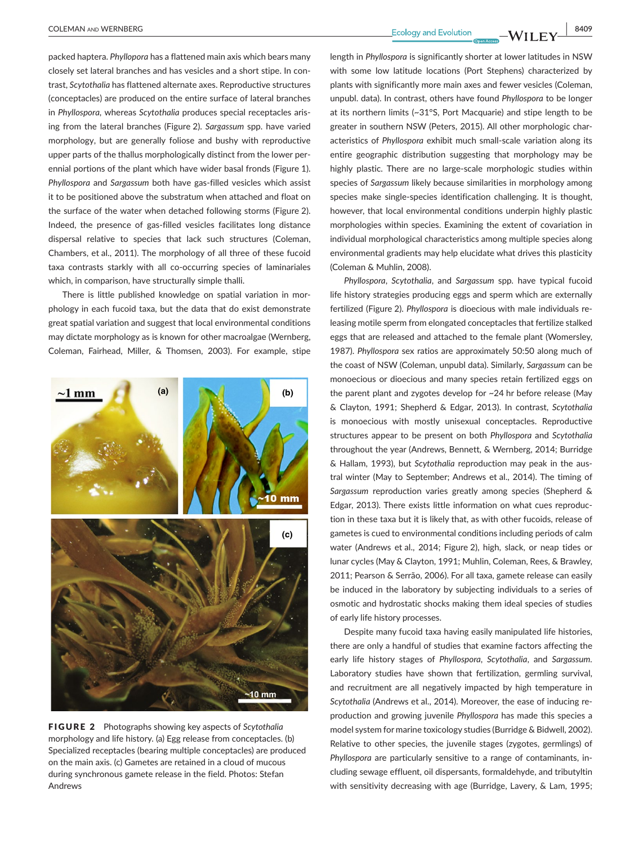packed haptera. *Phyllopora* has a flattened main axis which bears many closely set lateral branches and has vesicles and a short stipe. In contrast, *Scytothalia* has flattened alternate axes. Reproductive structures (conceptacles) are produced on the entire surface of lateral branches in *Phyllospora,* whereas *Scytothalia* produces special receptacles arising from the lateral branches (Figure 2). *Sargassum* spp. have varied morphology, but are generally foliose and bushy with reproductive upper parts of the thallus morphologically distinct from the lower perennial portions of the plant which have wider basal fronds (Figure 1). *Phyllospora* and *Sargassum* both have gas-filled vesicles which assist it to be positioned above the substratum when attached and float on the surface of the water when detached following storms (Figure 2). Indeed, the presence of gas-filled vesicles facilitates long distance dispersal relative to species that lack such structures (Coleman, Chambers, et al., 2011). The morphology of all three of these fucoid taxa contrasts starkly with all co-occurring species of laminariales which, in comparison, have structurally simple thalli.

There is little published knowledge on spatial variation in morphology in each fucoid taxa, but the data that do exist demonstrate great spatial variation and suggest that local environmental conditions may dictate morphology as is known for other macroalgae (Wernberg, Coleman, Fairhead, Miller, & Thomsen, 2003). For example, stipe



FIGURE 2 Photographs showing key aspects of *Scytothalia* morphology and life history. (a) Egg release from conceptacles. (b) Specialized receptacles (bearing multiple conceptacles) are produced on the main axis. (c) Gametes are retained in a cloud of mucous during synchronous gamete release in the field. Photos: Stefan Andrews

length in *Phyllospora* is significantly shorter at lower latitudes in NSW with some low latitude locations (Port Stephens) characterized by plants with significantly more main axes and fewer vesicles (Coleman, unpubl. data). In contrast, others have found *Phyllospora* to be longer at its northern limits (~31°S, Port Macquarie) and stipe length to be greater in southern NSW (Peters, 2015). All other morphologic characteristics of *Phyllospora* exhibit much small-scale variation along its entire geographic distribution suggesting that morphology may be highly plastic. There are no large-scale morphologic studies within species of *Sargassum* likely because similarities in morphology among species make single-species identification challenging. It is thought, however, that local environmental conditions underpin highly plastic morphologies within species. Examining the extent of covariation in individual morphological characteristics among multiple species along environmental gradients may help elucidate what drives this plasticity (Coleman & Muhlin, 2008).

*Phyllospora*, *Scytothalia*, and *Sargassum* spp*.* have typical fucoid life history strategies producing eggs and sperm which are externally fertilized (Figure 2). *Phyllospora* is dioecious with male individuals releasing motile sperm from elongated conceptacles that fertilize stalked eggs that are released and attached to the female plant (Womersley, 1987). *Phyllospora* sex ratios are approximately 50:50 along much of the coast of NSW (Coleman, unpubl data). Similarly, *Sargassum* can be monoecious or dioecious and many species retain fertilized eggs on the parent plant and zygotes develop for ~24 hr before release (May & Clayton, 1991; Shepherd & Edgar, 2013). In contrast, *Scytothalia* is monoecious with mostly unisexual conceptacles. Reproductive structures appear to be present on both *Phyllospora* and *Scytothalia* throughout the year (Andrews, Bennett, & Wernberg, 2014; Burridge & Hallam, 1993), but *Scytothalia* reproduction may peak in the austral winter (May to September; Andrews et al., 2014). The timing of *Sargassum* reproduction varies greatly among species (Shepherd & Edgar, 2013). There exists little information on what cues reproduction in these taxa but it is likely that, as with other fucoids, release of gametes is cued to environmental conditions including periods of calm water (Andrews et al., 2014; Figure 2), high, slack, or neap tides or lunar cycles (May & Clayton, 1991; Muhlin, Coleman, Rees, & Brawley, 2011; Pearson & Serrão, 2006). For all taxa, gamete release can easily be induced in the laboratory by subjecting individuals to a series of osmotic and hydrostatic shocks making them ideal species of studies of early life history processes.

Despite many fucoid taxa having easily manipulated life histories, there are only a handful of studies that examine factors affecting the early life history stages of *Phyllospora*, *Scytothalia*, and *Sargassum.* Laboratory studies have shown that fertilization, germling survival, and recruitment are all negatively impacted by high temperature in *Scytothalia* (Andrews et al., 2014). Moreover, the ease of inducing reproduction and growing juvenile *Phyllospora* has made this species a model system for marine toxicology studies (Burridge & Bidwell, 2002). Relative to other species, the juvenile stages (zygotes, germlings) of *Phyllospora* are particularly sensitive to a range of contaminants, including sewage effluent, oil dispersants, formaldehyde, and tributyltin with sensitivity decreasing with age (Burridge, Lavery, & Lam, 1995;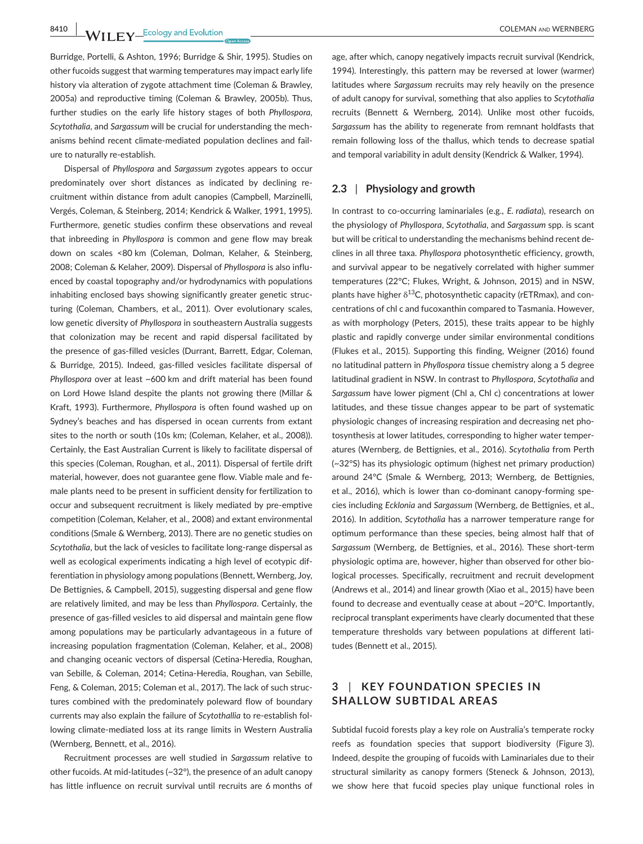**8410 LEV LEV LEV Example 20 COLEMAN AND WERNBERG** 

Burridge, Portelli, & Ashton, 1996; Burridge & Shir, 1995). Studies on other fucoids suggest that warming temperatures may impact early life history via alteration of zygote attachment time (Coleman & Brawley, 2005a) and reproductive timing (Coleman & Brawley, 2005b). Thus, further studies on the early life history stages of both *Phyllospora*, *Scytothalia*, and *Sargassum* will be crucial for understanding the mechanisms behind recent climate-mediated population declines and failure to naturally re-establish.

Dispersal of *Phyllospora* and *Sargassum* zygotes appears to occur predominately over short distances as indicated by declining recruitment within distance from adult canopies (Campbell, Marzinelli, Vergés, Coleman, & Steinberg, 2014; Kendrick & Walker, 1991, 1995). Furthermore, genetic studies confirm these observations and reveal that inbreeding in *Phyllospora* is common and gene flow may break down on scales <80 km (Coleman, Dolman, Kelaher, & Steinberg, 2008; Coleman & Kelaher, 2009). Dispersal of *Phyllospora* is also influenced by coastal topography and/or hydrodynamics with populations inhabiting enclosed bays showing significantly greater genetic structuring (Coleman, Chambers, et al., 2011). Over evolutionary scales, low genetic diversity of *Phyllospora* in southeastern Australia suggests that colonization may be recent and rapid dispersal facilitated by the presence of gas-filled vesicles (Durrant, Barrett, Edgar, Coleman, & Burridge, 2015). Indeed, gas-filled vesicles facilitate dispersal of *Phyllospora* over at least ~600 km and drift material has been found on Lord Howe Island despite the plants not growing there (Millar & Kraft, 1993). Furthermore, *Phyllospora* is often found washed up on Sydney's beaches and has dispersed in ocean currents from extant sites to the north or south (10s km; (Coleman, Kelaher, et al., 2008)). Certainly, the East Australian Current is likely to facilitate dispersal of this species (Coleman, Roughan, et al., 2011). Dispersal of fertile drift material, however, does not guarantee gene flow. Viable male and female plants need to be present in sufficient density for fertilization to occur and subsequent recruitment is likely mediated by pre-emptive competition (Coleman, Kelaher, et al., 2008) and extant environmental conditions (Smale & Wernberg, 2013). There are no genetic studies on *Scytothalia*, but the lack of vesicles to facilitate long-range dispersal as well as ecological experiments indicating a high level of ecotypic differentiation in physiology among populations (Bennett, Wernberg, Joy, De Bettignies, & Campbell, 2015), suggesting dispersal and gene flow are relatively limited, and may be less than *Phyllospora*. Certainly, the presence of gas-filled vesicles to aid dispersal and maintain gene flow among populations may be particularly advantageous in a future of increasing population fragmentation (Coleman, Kelaher, et al., 2008) and changing oceanic vectors of dispersal (Cetina-Heredia, Roughan, van Sebille, & Coleman, 2014; Cetina-Heredia, Roughan, van Sebille, Feng, & Coleman, 2015; Coleman et al., 2017). The lack of such structures combined with the predominately poleward flow of boundary currents may also explain the failure of *Scytothallia* to re-establish following climate-mediated loss at its range limits in Western Australia (Wernberg, Bennett, et al., 2016).

Recruitment processes are well studied in *Sargassum* relative to other fucoids. At mid-latitudes (~32°), the presence of an adult canopy has little influence on recruit survival until recruits are 6 months of

age, after which, canopy negatively impacts recruit survival (Kendrick, 1994). Interestingly, this pattern may be reversed at lower (warmer) latitudes where *Sargassum* recruits may rely heavily on the presence of adult canopy for survival, something that also applies to *Scytothalia* recruits (Bennett & Wernberg, 2014). Unlike most other fucoids, *Sargassum* has the ability to regenerate from remnant holdfasts that remain following loss of the thallus, which tends to decrease spatial and temporal variability in adult density (Kendrick & Walker, 1994).

### **2.3** | **Physiology and growth**

In contrast to co-occurring laminariales (e.g., *E. radiata*), research on the physiology of *Phyllospora*, *Scytothalia*, and *Sargassum* spp. is scant but will be critical to understanding the mechanisms behind recent declines in all three taxa. *Phyllospora* photosynthetic efficiency, growth, and survival appear to be negatively correlated with higher summer temperatures (22°C; Flukes, Wright, & Johnson, 2015) and in NSW, plants have higher  $\delta^{13}$ C, photosynthetic capacity (rETRmax), and concentrations of chl c and fucoxanthin compared to Tasmania. However, as with morphology (Peters, 2015), these traits appear to be highly plastic and rapidly converge under similar environmental conditions (Flukes et al., 2015). Supporting this finding, Weigner (2016) found no latitudinal pattern in *Phyllospora* tissue chemistry along a 5 degree latitudinal gradient in NSW. In contrast to *Phyllospora*, *Scytothalia* and *Sargassum* have lower pigment (Chl a, Chl c) concentrations at lower latitudes, and these tissue changes appear to be part of systematic physiologic changes of increasing respiration and decreasing net photosynthesis at lower latitudes, corresponding to higher water temperatures (Wernberg, de Bettignies, et al., 2016). *Scytothalia* from Perth (~32°S) has its physiologic optimum (highest net primary production) around 24°C (Smale & Wernberg, 2013; Wernberg, de Bettignies, et al., 2016), which is lower than co-dominant canopy-forming species including *Ecklonia* and *Sargassum* (Wernberg, de Bettignies, et al., 2016). In addition, *Scytothalia* has a narrower temperature range for optimum performance than these species, being almost half that of *Sargassum* (Wernberg, de Bettignies, et al., 2016). These short-term physiologic optima are, however, higher than observed for other biological processes. Specifically, recruitment and recruit development (Andrews et al., 2014) and linear growth (Xiao et al., 2015) have been found to decrease and eventually cease at about ~20°C. Importantly, reciprocal transplant experiments have clearly documented that these temperature thresholds vary between populations at different latitudes (Bennett et al., 2015).

# **3** | **KEY FOUNDATION SPECIES IN SHALLOW SUBTIDAL AREAS**

Subtidal fucoid forests play a key role on Australia's temperate rocky reefs as foundation species that support biodiversity (Figure 3). Indeed, despite the grouping of fucoids with Laminariales due to their structural similarity as canopy formers (Steneck & Johnson, 2013), we show here that fucoid species play unique functional roles in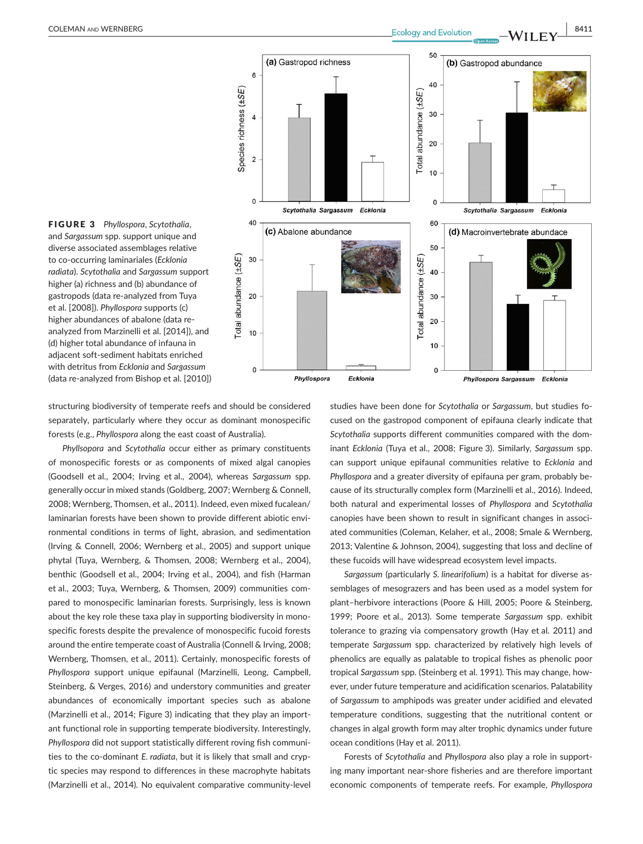



structuring biodiversity of temperate reefs and should be considered separately, particularly where they occur as dominant monospecific forests (e.g., *Phyllospora* along the east coast of Australia).

*Phyllsopora* and *Scytothalia* occur either as primary constituents of monospecific forests or as components of mixed algal canopies (Goodsell et al., 2004; Irving et al., 2004), whereas *Sargassum* spp. generally occur in mixed stands (Goldberg, 2007; Wernberg & Connell, 2008; Wernberg, Thomsen, et al., 2011). Indeed, even mixed fucalean/ laminarian forests have been shown to provide different abiotic environmental conditions in terms of light, abrasion, and sedimentation (Irving & Connell, 2006; Wernberg et al., 2005) and support unique phytal (Tuya, Wernberg, & Thomsen, 2008; Wernberg et al., 2004), benthic (Goodsell et al., 2004; Irving et al., 2004), and fish (Harman et al., 2003; Tuya, Wernberg, & Thomsen, 2009) communities compared to monospecific laminarian forests. Surprisingly, less is known about the key role these taxa play in supporting biodiversity in monospecific forests despite the prevalence of monospecific fucoid forests around the entire temperate coast of Australia (Connell & Irving, 2008; Wernberg, Thomsen, et al., 2011). Certainly, monospecific forests of *Phyllospora* support unique epifaunal (Marzinelli, Leong, Campbell, Steinberg, & Verges, 2016) and understory communities and greater abundances of economically important species such as abalone (Marzinelli et al., 2014; Figure 3) indicating that they play an important functional role in supporting temperate biodiversity. Interestingly, *Phyllospora* did not support statistically different roving fish communities to the co-dominant *E. radiata*, but it is likely that small and cryptic species may respond to differences in these macrophyte habitats (Marzinelli et al., 2014). No equivalent comparative community-level

studies have been done for *Scytothalia* or *Sargassum*, but studies focused on the gastropod component of epifauna clearly indicate that *Scytothalia* supports different communities compared with the dominant *Ecklonia* (Tuya et al., 2008; Figure 3). Similarly, *Sargassum* spp. can support unique epifaunal communities relative to *Ecklonia* and *Phyllospora* and a greater diversity of epifauna per gram, probably because of its structurally complex form (Marzinelli et al., 2016). Indeed, both natural and experimental losses of *Phyllospora* and *Scytothalia* canopies have been shown to result in significant changes in associated communities (Coleman, Kelaher, et al., 2008; Smale & Wernberg, 2013; Valentine & Johnson, 2004), suggesting that loss and decline of these fucoids will have widespread ecosystem level impacts.

*Sargassum* (particularly *S. linearifolium*) is a habitat for diverse assemblages of mesograzers and has been used as a model system for plant–herbivore interactions (Poore & Hill, 2005; Poore & Steinberg, 1999; Poore et al., 2013). Some temperate *Sargassum* spp. exhibit tolerance to grazing via compensatory growth (Hay et al. 2011) and temperate *Sargassum* spp. characterized by relatively high levels of phenolics are equally as palatable to tropical fishes as phenolic poor tropical *Sargassum* spp. (Steinberg et al. 1991). This may change, however, under future temperature and acidification scenarios. Palatability of *Sargassum* to amphipods was greater under acidified and elevated temperature conditions, suggesting that the nutritional content or changes in algal growth form may alter trophic dynamics under future ocean conditions (Hay et al. 2011).

Forests of *Scytothalia* and *Phyllospora* also play a role in supporting many important near-shore fisheries and are therefore important economic components of temperate reefs. For example, *Phyllospora*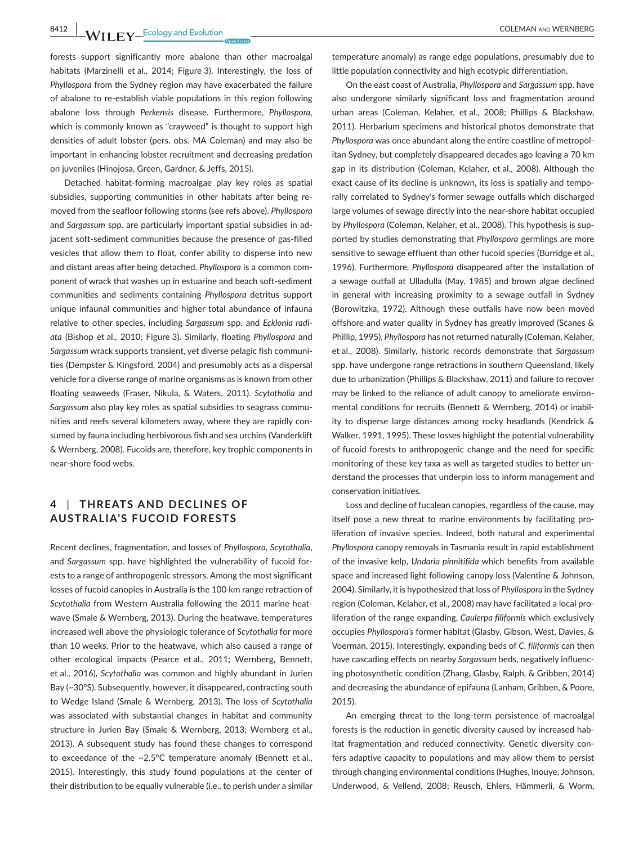**8412 WII FY** Ecology and Evolution **COLEMAN AND WERNBERG** 

forests support significantly more abalone than other macroalgal habitats (Marzinelli et al., 2014; Figure 3). Interestingly, the loss of *Phyllospora* from the Sydney region may have exacerbated the failure of abalone to re-establish viable populations in this region following abalone loss through *Perkensis* disease. Furthermore, *Phyllospora,* which is commonly known as "crayweed" is thought to support high densities of adult lobster (pers. obs. MA Coleman) and may also be important in enhancing lobster recruitment and decreasing predation on juveniles (Hinojosa, Green, Gardner, & Jeffs, 2015).

Detached habitat-forming macroalgae play key roles as spatial subsidies, supporting communities in other habitats after being removed from the seafloor following storms (see refs above). *Phyllospora* and *Sargassum* spp. are particularly important spatial subsidies in adjacent soft-sediment communities because the presence of gas-filled vesicles that allow them to float, confer ability to disperse into new and distant areas after being detached. *Phyllospora* is a common component of wrack that washes up in estuarine and beach soft-sediment communities and sediments containing *Phyllospora* detritus support unique infaunal communities and higher total abundance of infauna relative to other species, including *Sargassum* spp. and *Ecklonia radiata* (Bishop et al., 2010; Figure 3). Similarly, floating *Phyllospora* and *Sargassum* wrack supports transient, yet diverse pelagic fish communities (Dempster & Kingsford, 2004) and presumably acts as a dispersal vehicle for a diverse range of marine organisms as is known from other floating seaweeds (Fraser, Nikula, & Waters, 2011). *Scytothalia* and *Sargassum* also play key roles as spatial subsidies to seagrass communities and reefs several kilometers away, where they are rapidly consumed by fauna including herbivorous fish and sea urchins (Vanderklift & Wernberg, 2008). Fucoids are, therefore, key trophic components in near-shore food webs.

## **4** | **THREATS AND DECLINES OF AUSTRALIA'S FUCOID FORESTS**

Recent declines, fragmentation, and losses of *Phyllospora*, *Scytothalia*, and *Sargassum* spp*.* have highlighted the vulnerability of fucoid forests to a range of anthropogenic stressors. Among the most significant losses of fucoid canopies in Australia is the 100 km range retraction of *Scytothalia* from Western Australia following the 2011 marine heatwave (Smale & Wernberg, 2013). During the heatwave, temperatures increased well above the physiologic tolerance of *Scytothalia* for more than 10 weeks. Prior to the heatwave, which also caused a range of other ecological impacts (Pearce et al., 2011; Wernberg, Bennett, et al., 2016), *Scytothalia* was common and highly abundant in Jurien Bay (~30°S). Subsequently, however, it disappeared, contracting south to Wedge Island (Smale & Wernberg, 2013). The loss of *Scytothalia* was associated with substantial changes in habitat and community structure in Jurien Bay (Smale & Wernberg, 2013; Wernberg et al., 2013). A subsequent study has found these changes to correspond to exceedance of the ~2.5°C temperature anomaly (Bennett et al., 2015). Interestingly, this study found populations at the center of their distribution to be equally vulnerable (i.e., to perish under a similar

temperature anomaly) as range edge populations, presumably due to little population connectivity and high ecotypic differentiation.

On the east coast of Australia, *Phyllospora* and *Sargassum* spp. have also undergone similarly significant loss and fragmentation around urban areas (Coleman, Kelaher, et al., 2008; Phillips & Blackshaw, 2011). Herbarium specimens and historical photos demonstrate that *Phyllospora* was once abundant along the entire coastline of metropolitan Sydney, but completely disappeared decades ago leaving a 70 km gap in its distribution (Coleman, Kelaher, et al., 2008). Although the exact cause of its decline is unknown, its loss is spatially and temporally correlated to Sydney's former sewage outfalls which discharged large volumes of sewage directly into the near-shore habitat occupied by *Phyllospora* (Coleman, Kelaher, et al., 2008). This hypothesis is supported by studies demonstrating that *Phyllospora* germlings are more sensitive to sewage effluent than other fucoid species (Burridge et al., 1996). Furthermore, *Phyllospora* disappeared after the installation of a sewage outfall at Ulladulla (May, 1985) and brown algae declined in general with increasing proximity to a sewage outfall in Sydney (Borowitzka, 1972). Although these outfalls have now been moved offshore and water quality in Sydney has greatly improved (Scanes & Phillip, 1995), *Phyllospora* has not returned naturally (Coleman, Kelaher, et al., 2008). Similarly, historic records demonstrate that *Sargassum* spp. have undergone range retractions in southern Queensland, likely due to urbanization (Phillips & Blackshaw, 2011) and failure to recover may be linked to the reliance of adult canopy to ameliorate environmental conditions for recruits (Bennett & Wernberg, 2014) or inability to disperse large distances among rocky headlands (Kendrick & Walker, 1991, 1995). These losses highlight the potential vulnerability of fucoid forests to anthropogenic change and the need for specific monitoring of these key taxa as well as targeted studies to better understand the processes that underpin loss to inform management and conservation initiatives.

Loss and decline of fucalean canopies, regardless of the cause, may itself pose a new threat to marine environments by facilitating proliferation of invasive species. Indeed, both natural and experimental *Phyllospora* canopy removals in Tasmania result in rapid establishment of the invasive kelp, *Undaria pinnitifida* which benefits from available space and increased light following canopy loss (Valentine & Johnson, 2004). Similarly, it is hypothesized that loss of *Phyllospora* in the Sydney region (Coleman, Kelaher, et al., 2008) may have facilitated a local proliferation of the range expanding, *Caulerpa filiformis* which exclusively occupies *Phyllospora's* former habitat (Glasby, Gibson, West, Davies, & Voerman, 2015). Interestingly, expanding beds of *C. filiformis* can then have cascading effects on nearby *Sargassum* beds, negatively influencing photosynthetic condition (Zhang, Glasby, Ralph, & Gribben, 2014) and decreasing the abundance of epifauna (Lanham, Gribben, & Poore, 2015).

An emerging threat to the long-term persistence of macroalgal forests is the reduction in genetic diversity caused by increased habitat fragmentation and reduced connectivity. Genetic diversity confers adaptive capacity to populations and may allow them to persist through changing environmental conditions (Hughes, Inouye, Johnson, Underwood, & Vellend, 2008; Reusch, Ehlers, Hämmerli, & Worm,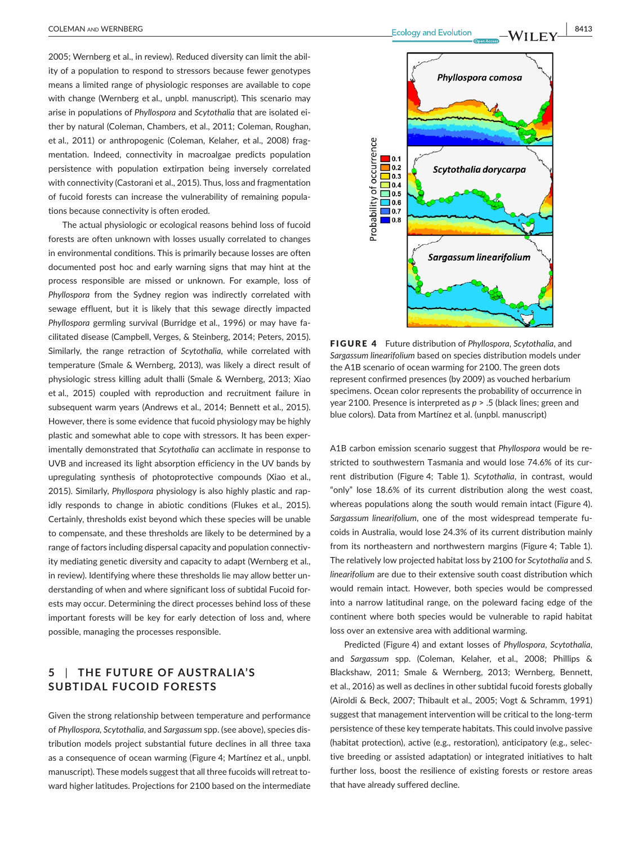2005; Wernberg et al., in review). Reduced diversity can limit the ability of a population to respond to stressors because fewer genotypes means a limited range of physiologic responses are available to cope with change (Wernberg et al., unpbl. manuscript). This scenario may arise in populations of *Phyllospora* and *Scytothalia* that are isolated either by natural (Coleman, Chambers, et al., 2011; Coleman, Roughan, et al., 2011) or anthropogenic (Coleman, Kelaher, et al., 2008) fragmentation. Indeed, connectivity in macroalgae predicts population persistence with population extirpation being inversely correlated with connectivity (Castorani et al., 2015). Thus, loss and fragmentation of fucoid forests can increase the vulnerability of remaining populations because connectivity is often eroded.

The actual physiologic or ecological reasons behind loss of fucoid forests are often unknown with losses usually correlated to changes in environmental conditions. This is primarily because losses are often documented post hoc and early warning signs that may hint at the process responsible are missed or unknown. For example, loss of *Phyllospora* from the Sydney region was indirectly correlated with sewage effluent, but it is likely that this sewage directly impacted *Phyllospora* germling survival (Burridge et al., 1996) or may have facilitated disease (Campbell, Verges, & Steinberg, 2014; Peters, 2015). Similarly, the range retraction of *Scytothalia,* while correlated with temperature (Smale & Wernberg, 2013), was likely a direct result of physiologic stress killing adult thalli (Smale & Wernberg, 2013; Xiao et al., 2015) coupled with reproduction and recruitment failure in subsequent warm years (Andrews et al., 2014; Bennett et al., 2015). However, there is some evidence that fucoid physiology may be highly plastic and somewhat able to cope with stressors. It has been experimentally demonstrated that *Scytothalia* can acclimate in response to UVB and increased its light absorption efficiency in the UV bands by upregulating synthesis of photoprotective compounds (Xiao et al., 2015). Similarly, *Phyllospora* physiology is also highly plastic and rapidly responds to change in abiotic conditions (Flukes et al., 2015). Certainly, thresholds exist beyond which these species will be unable to compensate, and these thresholds are likely to be determined by a range of factors including dispersal capacity and population connectivity mediating genetic diversity and capacity to adapt (Wernberg et al., in review). Identifying where these thresholds lie may allow better understanding of when and where significant loss of subtidal Fucoid forests may occur. Determining the direct processes behind loss of these important forests will be key for early detection of loss and, where possible, managing the processes responsible.

# **5** | **THE FUTURE OF AUSTRALIA'S SUBTIDAL FUCOID FORESTS**

Given the strong relationship between temperature and performance of *Phyllospora, Scytothalia*, and *Sargassum* spp. (see above), species distribution models project substantial future declines in all three taxa as a consequence of ocean warming (Figure 4; Martínez et al., unpbl. manuscript). These models suggest that all three fucoids will retreat toward higher latitudes. Projections for 2100 based on the intermediate

 **COLEMAN AND WERNBERG BASES BASES BASES Ecology** and Evolution **BASES BASES BASES BASES BASES BASES** 



FIGURE 4 Future distribution of *Phyllospora*, *Scytothalia*, and *Sargassum linearifolium* based on species distribution models under the A1B scenario of ocean warming for 2100. The green dots represent confirmed presences (by 2009) as vouched herbarium specimens. Ocean color represents the probability of occurrence in year 2100. Presence is interpreted as *p* > .5 (black lines; green and blue colors). Data from Martínez et al. (unpbl. manuscript)

A1B carbon emission scenario suggest that *Phyllospora* would be restricted to southwestern Tasmania and would lose 74.6% of its current distribution (Figure 4; Table 1). *Scytothalia*, in contrast, would "only" lose 18.6% of its current distribution along the west coast, whereas populations along the south would remain intact (Figure 4). *Sargassum linearifolium*, one of the most widespread temperate fucoids in Australia, would lose 24.3% of its current distribution mainly from its northeastern and northwestern margins (Figure 4; Table 1). The relatively low projected habitat loss by 2100 for *Scytothalia* and *S. linearifolium* are due to their extensive south coast distribution which would remain intact. However, both species would be compressed into a narrow latitudinal range, on the poleward facing edge of the continent where both species would be vulnerable to rapid habitat loss over an extensive area with additional warming.

Predicted (Figure 4) and extant losses of *Phyllospora*, *Scytothalia*, and *Sargassum* spp. (Coleman, Kelaher, et al., 2008; Phillips & Blackshaw, 2011; Smale & Wernberg, 2013; Wernberg, Bennett, et al., 2016) as well as declines in other subtidal fucoid forests globally (Airoldi & Beck, 2007; Thibault et al., 2005; Vogt & Schramm, 1991) suggest that management intervention will be critical to the long-term persistence of these key temperate habitats. This could involve passive (habitat protection), active (e.g., restoration), anticipatory (e.g., selective breeding or assisted adaptation) or integrated initiatives to halt further loss, boost the resilience of existing forests or restore areas that have already suffered decline.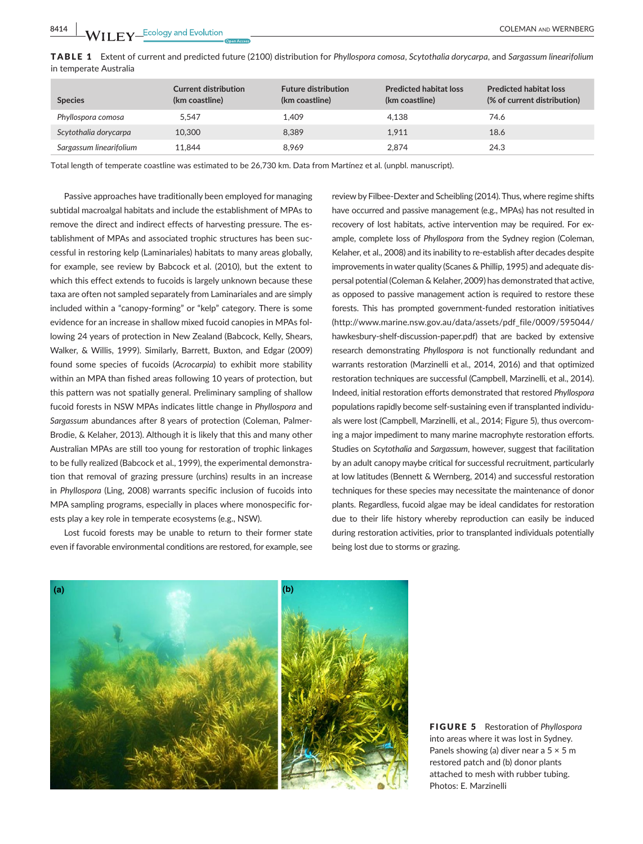|                        | <code>TABLE 1</code> Extent of current and predicted future (2100) distribution for Phyllospora comosa, Scytothalia dorycarpa, and Sargassum linearifolium |  |  |  |
|------------------------|------------------------------------------------------------------------------------------------------------------------------------------------------------|--|--|--|
| in temperate Australia |                                                                                                                                                            |  |  |  |

| <b>Species</b>          | <b>Current distribution</b><br>(km coastline) | <b>Future distribution</b><br>(km coastline) | <b>Predicted habitat loss</b><br>(km coastline) | <b>Predicted habitat loss</b><br>(% of current distribution) |
|-------------------------|-----------------------------------------------|----------------------------------------------|-------------------------------------------------|--------------------------------------------------------------|
| Phyllospora comosa      | 5.547                                         | 1.409                                        | 4.138                                           | 74.6                                                         |
| Scytothalia dorycarpa   | 10,300                                        | 8.389                                        | 1.911                                           | 18.6                                                         |
| Sargassum linearifolium | 11.844                                        | 8.969                                        | 2.874                                           | 24.3                                                         |

Total length of temperate coastline was estimated to be 26,730 km. Data from Martínez et al. (unpbl. manuscript).

Passive approaches have traditionally been employed for managing subtidal macroalgal habitats and include the establishment of MPAs to remove the direct and indirect effects of harvesting pressure. The establishment of MPAs and associated trophic structures has been successful in restoring kelp (Laminariales) habitats to many areas globally, for example, see review by Babcock et al. (2010), but the extent to which this effect extends to fucoids is largely unknown because these taxa are often not sampled separately from Laminariales and are simply included within a "canopy-forming" or "kelp" category. There is some evidence for an increase in shallow mixed fucoid canopies in MPAs following 24 years of protection in New Zealand (Babcock, Kelly, Shears, Walker, & Willis, 1999). Similarly, Barrett, Buxton, and Edgar (2009) found some species of fucoids (*Acrocarpia*) to exhibit more stability within an MPA than fished areas following 10 years of protection, but this pattern was not spatially general. Preliminary sampling of shallow fucoid forests in NSW MPAs indicates little change in *Phyllospora* and *Sargassum* abundances after 8 years of protection (Coleman, Palmer-Brodie, & Kelaher, 2013). Although it is likely that this and many other Australian MPAs are still too young for restoration of trophic linkages to be fully realized (Babcock et al., 1999), the experimental demonstration that removal of grazing pressure (urchins) results in an increase in *Phyllospora* (Ling, 2008) warrants specific inclusion of fucoids into MPA sampling programs, especially in places where monospecific forests play a key role in temperate ecosystems (e.g., NSW).

Lost fucoid forests may be unable to return to their former state even if favorable environmental conditions are restored, for example, see

review by Filbee-Dexter and Scheibling (2014). Thus, where regime shifts have occurred and passive management (e.g., MPAs) has not resulted in recovery of lost habitats, active intervention may be required. For example, complete loss of *Phyllospora* from the Sydney region (Coleman, Kelaher, et al., 2008) and its inability to re-establish after decades despite improvements in water quality (Scanes & Phillip, 1995) and adequate dispersal potential (Coleman & Kelaher, 2009) has demonstrated that active, as opposed to passive management action is required to restore these forests. This has prompted government-funded restoration initiatives ([http://www.marine.nsw.gov.au/data/assets/pdf\\_file/0009/595044/](http://www.marine.nsw.gov.au/data/assets/pdf_file/0009/595044/hawkesbury-shelf-discussion-paper.pdf) [hawkesbury-shelf-discussion-paper.pdf](http://www.marine.nsw.gov.au/data/assets/pdf_file/0009/595044/hawkesbury-shelf-discussion-paper.pdf)) that are backed by extensive research demonstrating *Phyllospora* is not functionally redundant and warrants restoration (Marzinelli et al., 2014, 2016) and that optimized restoration techniques are successful (Campbell, Marzinelli, et al., 2014). Indeed, initial restoration efforts demonstrated that restored *Phyllospora* populations rapidly become self-sustaining even if transplanted individuals were lost (Campbell, Marzinelli, et al., 2014; Figure 5), thus overcoming a major impediment to many marine macrophyte restoration efforts. Studies on *Scytothalia* and *Sargassum*, however, suggest that facilitation by an adult canopy maybe critical for successful recruitment, particularly at low latitudes (Bennett & Wernberg, 2014) and successful restoration techniques for these species may necessitate the maintenance of donor plants. Regardless, fucoid algae may be ideal candidates for restoration due to their life history whereby reproduction can easily be induced during restoration activities, prior to transplanted individuals potentially being lost due to storms or grazing.



FIGURE 5 Restoration of *Phyllospora* into areas where it was lost in Sydney. Panels showing (a) diver near a  $5 \times 5$  m restored patch and (b) donor plants attached to mesh with rubber tubing. Photos: E. Marzinelli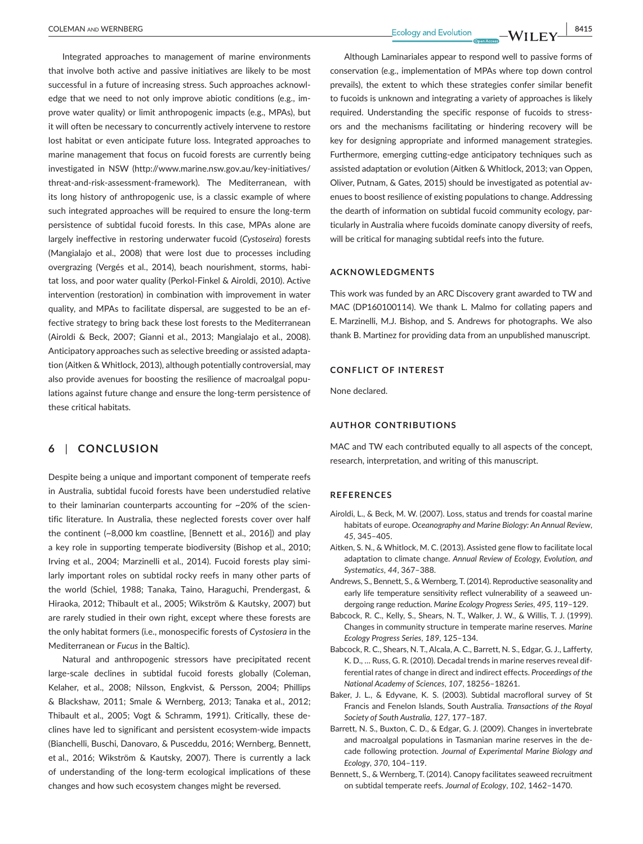Integrated approaches to management of marine environments that involve both active and passive initiatives are likely to be most successful in a future of increasing stress. Such approaches acknowledge that we need to not only improve abiotic conditions (e.g., improve water quality) or limit anthropogenic impacts (e.g., MPAs), but it will often be necessary to concurrently actively intervene to restore lost habitat or even anticipate future loss. Integrated approaches to marine management that focus on fucoid forests are currently being investigated in NSW ([http://www.marine.nsw.gov.au/key-initiatives/](http://www.marine.nsw.gov.au/key-initiatives/threat-and-risk-assessment-framework) [threat-and-risk-assessment-framework](http://www.marine.nsw.gov.au/key-initiatives/threat-and-risk-assessment-framework)). The Mediterranean, with its long history of anthropogenic use, is a classic example of where such integrated approaches will be required to ensure the long-term persistence of subtidal fucoid forests. In this case, MPAs alone are largely ineffective in restoring underwater fucoid (*Cystoseira*) forests (Mangialajo et al., 2008) that were lost due to processes including overgrazing (Vergés et al., 2014), beach nourishment, storms, habitat loss, and poor water quality (Perkol-Finkel & Airoldi, 2010). Active intervention (restoration) in combination with improvement in water quality, and MPAs to facilitate dispersal, are suggested to be an effective strategy to bring back these lost forests to the Mediterranean (Airoldi & Beck, 2007; Gianni et al., 2013; Mangialajo et al., 2008). Anticipatory approaches such as selective breeding or assisted adaptation (Aitken & Whitlock, 2013), although potentially controversial, may also provide avenues for boosting the resilience of macroalgal populations against future change and ensure the long-term persistence of these critical habitats.

# **6** | **CONCLUSION**

Despite being a unique and important component of temperate reefs in Australia, subtidal fucoid forests have been understudied relative to their laminarian counterparts accounting for ~20% of the scientific literature. In Australia, these neglected forests cover over half the continent (~8,000 km coastline, [Bennett et al., 2016]) and play a key role in supporting temperate biodiversity (Bishop et al., 2010; Irving et al., 2004; Marzinelli et al., 2014). Fucoid forests play similarly important roles on subtidal rocky reefs in many other parts of the world (Schiel, 1988; Tanaka, Taino, Haraguchi, Prendergast, & Hiraoka, 2012; Thibault et al., 2005; Wikström & Kautsky, 2007) but are rarely studied in their own right, except where these forests are the only habitat formers (i.e., monospecific forests of *Cystosiera* in the Mediterranean or *Fucus* in the Baltic).

Natural and anthropogenic stressors have precipitated recent large-scale declines in subtidal fucoid forests globally (Coleman, Kelaher, et al., 2008; Nilsson, Engkvist, & Persson, 2004; Phillips & Blackshaw, 2011; Smale & Wernberg, 2013; Tanaka et al., 2012; Thibault et al., 2005; Vogt & Schramm, 1991). Critically, these declines have led to significant and persistent ecosystem-wide impacts (Bianchelli, Buschi, Danovaro, & Pusceddu, 2016; Wernberg, Bennett, et al., 2016; Wikström & Kautsky, 2007). There is currently a lack of understanding of the long-term ecological implications of these changes and how such ecosystem changes might be reversed.

Although Laminariales appear to respond well to passive forms of conservation (e.g., implementation of MPAs where top down control prevails), the extent to which these strategies confer similar benefit to fucoids is unknown and integrating a variety of approaches is likely required. Understanding the specific response of fucoids to stressors and the mechanisms facilitating or hindering recovery will be key for designing appropriate and informed management strategies. Furthermore, emerging cutting-edge anticipatory techniques such as assisted adaptation or evolution (Aitken & Whitlock, 2013; van Oppen, Oliver, Putnam, & Gates, 2015) should be investigated as potential avenues to boost resilience of existing populations to change. Addressing the dearth of information on subtidal fucoid community ecology, particularly in Australia where fucoids dominate canopy diversity of reefs, will be critical for managing subtidal reefs into the future.

#### **ACKNOWLEDGMENTS**

This work was funded by an ARC Discovery grant awarded to TW and MAC (DP160100114). We thank L. Malmo for collating papers and E. Marzinelli, M.J. Bishop, and S. Andrews for photographs. We also thank B. Martinez for providing data from an unpublished manuscript.

#### **CONFLICT OF INTEREST**

None declared.

#### **AUTHOR CONTRIBUTIONS**

MAC and TW each contributed equally to all aspects of the concept, research, interpretation, and writing of this manuscript.

#### **REFERENCES**

- Airoldi, L., & Beck, M. W. (2007). Loss, status and trends for coastal marine habitats of europe. *Oceanography and Marine Biology: An Annual Review*, *45*, 345–405.
- Aitken, S. N., & Whitlock, M. C. (2013). Assisted gene flow to facilitate local adaptation to climate change. *Annual Review of Ecology, Evolution, and Systematics*, *44*, 367–388.
- Andrews, S., Bennett, S., & Wernberg, T. (2014). Reproductive seasonality and early life temperature sensitivity reflect vulnerability of a seaweed undergoing range reduction. *Marine Ecology Progress Series*, *495*, 119–129.
- Babcock, R. C., Kelly, S., Shears, N. T., Walker, J. W., & Willis, T. J. (1999). Changes in community structure in temperate marine reserves. *Marine Ecology Progress Series*, *189*, 125–134.
- Babcock, R. C., Shears, N. T., Alcala, A. C., Barrett, N. S., Edgar, G. J., Lafferty, K. D., … Russ, G. R. (2010). Decadal trends in marine reserves reveal differential rates of change in direct and indirect effects. *Proceedings of the National Academy of Sciences*, *107*, 18256–18261.
- Baker, J. L., & Edyvane, K. S. (2003). Subtidal macrofloral survey of St Francis and Fenelon Islands, South Australia. *Transactions of the Royal Society of South Australia*, *127*, 177–187.
- Barrett, N. S., Buxton, C. D., & Edgar, G. J. (2009). Changes in invertebrate and macroalgal populations in Tasmanian marine reserves in the decade following protection. *Journal of Experimental Marine Biology and Ecology*, *370*, 104–119.
- Bennett, S., & Wernberg, T. (2014). Canopy facilitates seaweed recruitment on subtidal temperate reefs. *Journal of Ecology*, *102*, 1462–1470.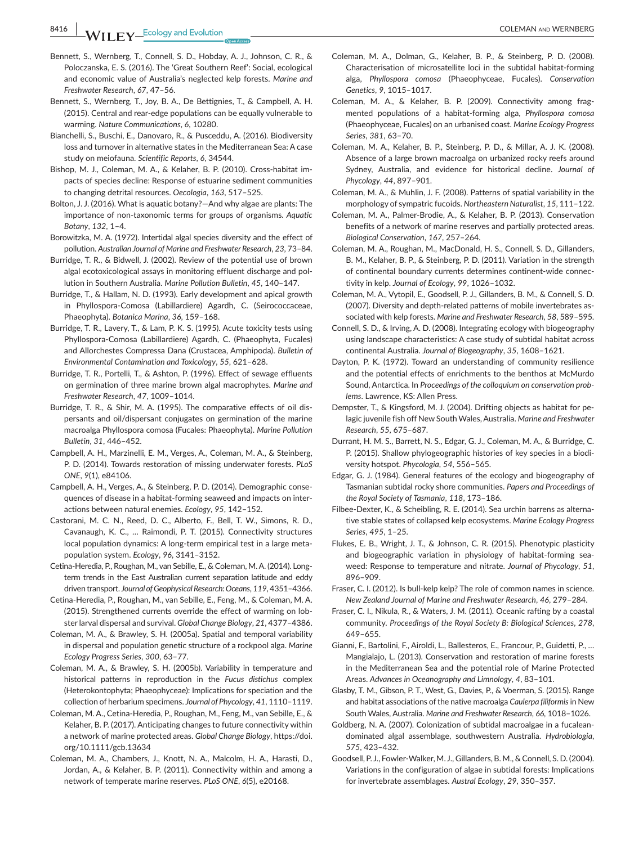**8416 WII FY** Ecology and Evolution **All COLEMAN AND WERNBERG** 

- Bennett, S., Wernberg, T., Connell, S. D., Hobday, A. J., Johnson, C. R., & Poloczanska, E. S. (2016). The 'Great Southern Reef': Social, ecological and economic value of Australia's neglected kelp forests. *Marine and Freshwater Research*, *67*, 47–56.
- Bennett, S., Wernberg, T., Joy, B. A., De Bettignies, T., & Campbell, A. H. (2015). Central and rear-edge populations can be equally vulnerable to warming. *Nature Communications*, *6*, 10280.
- Bianchelli, S., Buschi, E., Danovaro, R., & Pusceddu, A. (2016). Biodiversity loss and turnover in alternative states in the Mediterranean Sea: A case study on meiofauna. *Scientific Reports*, *6*, 34544.
- Bishop, M. J., Coleman, M. A., & Kelaher, B. P. (2010). Cross-habitat impacts of species decline: Response of estuarine sediment communities to changing detrital resources. *Oecologia*, *163*, 517–525.
- Bolton, J. J. (2016). What is aquatic botany?—And why algae are plants: The importance of non-taxonomic terms for groups of organisms. *Aquatic Botany*, *132*, 1–4.
- Borowitzka, M. A. (1972). Intertidal algal species diversity and the effect of pollution. *Australian Journal of Marine and Freshwater Research*, *23*, 73–84.
- Burridge, T. R., & Bidwell, J. (2002). Review of the potential use of brown algal ecotoxicological assays in monitoring effluent discharge and pollution in Southern Australia. *Marine Pollution Bulletin*, *45*, 140–147.
- Burridge, T., & Hallam, N. D. (1993). Early development and apical growth in Phyllospora-Comosa (Labillardiere) Agardh, C. (Seirococcaceae, Phaeophyta). *Botanica Marina*, *36*, 159–168.
- Burridge, T. R., Lavery, T., & Lam, P. K. S. (1995). Acute toxicity tests using Phyllospora-Comosa (Labillardiere) Agardh, C. (Phaeophyta, Fucales) and Allorchestes Compressa Dana (Crustacea, Amphipoda). *Bulletin of Environmental Contamination and Toxicology*, *55*, 621–628.
- Burridge, T. R., Portelli, T., & Ashton, P. (1996). Effect of sewage effluents on germination of three marine brown algal macrophytes. *Marine and Freshwater Research*, *47*, 1009–1014.
- Burridge, T. R., & Shir, M. A. (1995). The comparative effects of oil dispersants and oil/dispersant conjugates on germination of the marine macroalga Phyllospora comosa (Fucales: Phaeophyta). *Marine Pollution Bulletin*, *31*, 446–452.
- Campbell, A. H., Marzinelli, E. M., Verges, A., Coleman, M. A., & Steinberg, P. D. (2014). Towards restoration of missing underwater forests. *PLoS ONE*, *9*(1), e84106.
- Campbell, A. H., Verges, A., & Steinberg, P. D. (2014). Demographic consequences of disease in a habitat-forming seaweed and impacts on interactions between natural enemies. *Ecology*, *95*, 142–152.
- Castorani, M. C. N., Reed, D. C., Alberto, F., Bell, T. W., Simons, R. D., Cavanaugh, K. C., … Raimondi, P. T. (2015). Connectivity structures local population dynamics: A long-term empirical test in a large metapopulation system. *Ecology*, *96*, 3141–3152.
- Cetina-Heredia, P., Roughan, M., van Sebille, E., & Coleman, M. A. (2014). Longterm trends in the East Australian current separation latitude and eddy driven transport. *Journal of Geophysical Research: Oceans*, *119*, 4351–4366.
- Cetina-Heredia, P., Roughan, M., van Sebille, E., Feng, M., & Coleman, M. A. (2015). Strengthened currents override the effect of warming on lobster larval dispersal and survival. *Global Change Biology*, *21*, 4377–4386.
- Coleman, M. A., & Brawley, S. H. (2005a). Spatial and temporal variability in dispersal and population genetic structure of a rockpool alga. *Marine Ecology Progress Series*, *300*, 63–77.
- Coleman, M. A., & Brawley, S. H. (2005b). Variability in temperature and historical patterns in reproduction in the *Fucus distichus* complex (Heterokontophyta; Phaeophyceae): Implications for speciation and the collection of herbarium specimens. *Journal of Phycology*, *41*, 1110–1119.
- Coleman, M. A., Cetina-Heredia, P., Roughan, M., Feng, M., van Sebille, E., & Kelaher, B. P. (2017). Anticipating changes to future connectivity within a network of marine protected areas. *Global Change Biology*, [https://doi.](https://doi.org/10.1111/gcb.13634) [org/10.1111/gcb.13634](https://doi.org/10.1111/gcb.13634)
- Coleman, M. A., Chambers, J., Knott, N. A., Malcolm, H. A., Harasti, D., Jordan, A., & Kelaher, B. P. (2011). Connectivity within and among a network of temperate marine reserves. *PLoS ONE*, *6*(5), e20168.
- Coleman, M. A., Dolman, G., Kelaher, B. P., & Steinberg, P. D. (2008). Characterisation of microsatellite loci in the subtidal habitat-forming alga, *Phyllospora comosa* (Phaeophyceae, Fucales). *Conservation Genetics*, *9*, 1015–1017.
- Coleman, M. A., & Kelaher, B. P. (2009). Connectivity among fragmented populations of a habitat-forming alga, *Phyllospora comosa* (Phaeophyceae, Fucales) on an urbanised coast. *Marine Ecology Progress Series*, *381*, 63–70.
- Coleman, M. A., Kelaher, B. P., Steinberg, P. D., & Millar, A. J. K. (2008). Absence of a large brown macroalga on urbanized rocky reefs around Sydney, Australia, and evidence for historical decline. *Journal of Phycology*, *44*, 897–901.
- Coleman, M. A., & Muhlin, J. F. (2008). Patterns of spatial variability in the morphology of sympatric fucoids. *Northeastern Naturalist*, *15*, 111–122.
- Coleman, M. A., Palmer-Brodie, A., & Kelaher, B. P. (2013). Conservation benefits of a network of marine reserves and partially protected areas. *Biological Conservation*, *167*, 257–264.
- Coleman, M. A., Roughan, M., MacDonald, H. S., Connell, S. D., Gillanders, B. M., Kelaher, B. P., & Steinberg, P. D. (2011). Variation in the strength of continental boundary currents determines continent-wide connectivity in kelp. *Journal of Ecology*, *99*, 1026–1032.
- Coleman, M. A., Vytopil, E., Goodsell, P. J., Gillanders, B. M., & Connell, S. D. (2007). Diversity and depth-related patterns of mobile invertebrates associated with kelp forests. *Marine and Freshwater Research*, *58*, 589–595.
- Connell, S. D., & Irving, A. D. (2008). Integrating ecology with biogeography using landscape characteristics: A case study of subtidal habitat across continental Australia. *Journal of Biogeography*, *35*, 1608–1621.
- Dayton, P. K. (1972). Toward an understanding of community resilience and the potential effects of enrichments to the benthos at McMurdo Sound, Antarctica. In *Proceedings of the colloquium on conservation problems*. Lawrence, KS: Allen Press.
- Dempster, T., & Kingsford, M. J. (2004). Drifting objects as habitat for pelagic juvenile fish off New South Wales, Australia. *Marine and Freshwater Research*, *55*, 675–687.
- Durrant, H. M. S., Barrett, N. S., Edgar, G. J., Coleman, M. A., & Burridge, C. P. (2015). Shallow phylogeographic histories of key species in a biodiversity hotspot. *Phycologia*, *54*, 556–565.
- Edgar, G. J. (1984). General features of the ecology and biogeography of Tasmanian subtidal rocky shore communities. *Papers and Proceedings of the Royal Society of Tasmania*, *118*, 173–186.
- Filbee-Dexter, K., & Scheibling, R. E. (2014). Sea urchin barrens as alternative stable states of collapsed kelp ecosystems. *Marine Ecology Progress Series*, *495*, 1–25.
- Flukes, E. B., Wright, J. T., & Johnson, C. R. (2015). Phenotypic plasticity and biogeographic variation in physiology of habitat-forming seaweed: Response to temperature and nitrate. *Journal of Phycology*, *51*, 896–909.
- Fraser, C. I. (2012). Is bull-kelp kelp? The role of common names in science. *New Zealand Journal of Marine and Freshwater Research*, *46*, 279–284.
- Fraser, C. I., Nikula, R., & Waters, J. M. (2011). Oceanic rafting by a coastal community. *Proceedings of the Royal Society B: Biological Sciences*, *278*, 649–655.
- Gianni, F., Bartolini, F., Airoldi, L., Ballesteros, E., Francour, P., Guidetti, P., … Mangialajo, L. (2013). Conservation and restoration of marine forests in the Mediterranean Sea and the potential role of Marine Protected Areas. *Advances in Oceanography and Limnology*, *4*, 83–101.
- Glasby, T. M., Gibson, P. T., West, G., Davies, P., & Voerman, S. (2015). Range and habitat associations of the native macroalga *Caulerpa filiformis* in New South Wales, Australia. *Marine and Freshwater Research*, *66*, 1018–1026.
- Goldberg, N. A. (2007). Colonization of subtidal macroalgae in a fucaleandominated algal assemblage, southwestern Australia. *Hydrobiologia*, *575*, 423–432.
- Goodsell, P. J., Fowler-Walker, M. J., Gillanders, B. M., & Connell, S. D. (2004). Variations in the configuration of algae in subtidal forests: Implications for invertebrate assemblages. *Austral Ecology*, *29*, 350–357.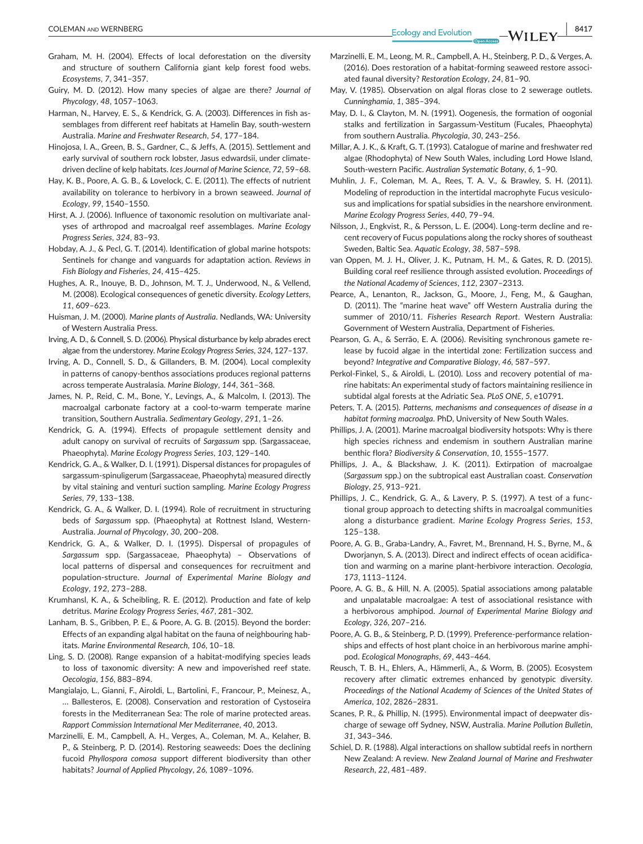- Graham, M. H. (2004). Effects of local deforestation on the diversity and structure of southern California giant kelp forest food webs. *Ecosystems*, *7*, 341–357.
- Guiry, M. D. (2012). How many species of algae are there? *Journal of Phycology*, *48*, 1057–1063.
- Harman, N., Harvey, E. S., & Kendrick, G. A. (2003). Differences in fish assemblages from different reef habitats at Hamelin Bay, south-western Australia. *Marine and Freshwater Research*, *54*, 177–184.
- Hinojosa, I. A., Green, B. S., Gardner, C., & Jeffs, A. (2015). Settlement and early survival of southern rock lobster, Jasus edwardsii, under climatedriven decline of kelp habitats. *Ices Journal of Marine Science*, *72*, 59–68.
- Hay, K. B., Poore, A. G. B., & Lovelock, C. E. (2011). The effects of nutrient availability on tolerance to herbivory in a brown seaweed. *Journal of Ecology*, *99*, 1540–1550.
- Hirst, A. J. (2006). Influence of taxonomic resolution on multivariate analyses of arthropod and macroalgal reef assemblages. *Marine Ecology Progress Series*, *324*, 83–93.
- Hobday, A. J., & Pecl, G. T. (2014). Identification of global marine hotspots: Sentinels for change and vanguards for adaptation action. *Reviews in Fish Biology and Fisheries*, *24*, 415–425.
- Hughes, A. R., Inouye, B. D., Johnson, M. T. J., Underwood, N., & Vellend, M. (2008). Ecological consequences of genetic diversity. *Ecology Letters*, *11*, 609–623.
- Huisman, J. M. (2000). *Marine plants of Australia*. Nedlands, WA: University of Western Australia Press.
- Irving, A. D., & Connell, S. D. (2006). Physical disturbance by kelp abrades erect algae from the understorey. *Marine Ecology Progress Series*, *324*, 127–137.
- Irving, A. D., Connell, S. D., & Gillanders, B. M. (2004). Local complexity in patterns of canopy-benthos associations produces regional patterns across temperate Australasia. *Marine Biology*, *144*, 361–368.
- James, N. P., Reid, C. M., Bone, Y., Levings, A., & Malcolm, I. (2013). The macroalgal carbonate factory at a cool-to-warm temperate marine transition, Southern Australia. *Sedimentary Geology*, *291*, 1–26.
- Kendrick, G. A. (1994). Effects of propagule settlement density and adult canopy on survival of recruits of *Sargassum* spp. (Sargassaceae, Phaeophyta). *Marine Ecology Progress Series*, *103*, 129–140.
- Kendrick, G. A., & Walker, D. I. (1991). Dispersal distances for propagules of sargassum-spinuligerum (Sargassaceae, Phaeophyta) measured directly by vital staining and venturi suction sampling. *Marine Ecology Progress Series*, *79*, 133–138.
- Kendrick, G. A., & Walker, D. I. (1994). Role of recruitment in structuring beds of *Sargassum* spp. (Phaeophyta) at Rottnest Island, Western-Australia. *Journal of Phycology*, *30*, 200–208.
- Kendrick, G. A., & Walker, D. I. (1995). Dispersal of propagules of *Sargassum* spp. (Sargassaceae, Phaeophyta) – Observations of local patterns of dispersal and consequences for recruitment and population-structure. *Journal of Experimental Marine Biology and Ecology*, *192*, 273–288.
- Krumhansl, K. A., & Scheibling, R. E. (2012). Production and fate of kelp detritus. *Marine Ecology Progress Series*, *467*, 281–302.
- Lanham, B. S., Gribben, P. E., & Poore, A. G. B. (2015). Beyond the border: Effects of an expanding algal habitat on the fauna of neighbouring habitats. *Marine Environmental Research*, *106*, 10–18.
- Ling, S. D. (2008). Range expansion of a habitat-modifying species leads to loss of taxonomic diversity: A new and impoverished reef state. *Oecologia*, *156*, 883–894.
- Mangialajo, L., Gianni, F., Airoldi, L., Bartolini, F., Francour, P., Meinesz, A., … Ballesteros, E. (2008). Conservation and restoration of Cystoseira forests in the Mediterranean Sea: The role of marine protected areas. *Rapport Commission International Mer Mediterranee*, *40*, 2013.
- Marzinelli, E. M., Campbell, A. H., Verges, A., Coleman, M. A., Kelaher, B. P., & Steinberg, P. D. (2014). Restoring seaweeds: Does the declining fucoid *Phyllospora comosa* support different biodiversity than other habitats? *Journal of Applied Phycology*, *26*, 1089–1096.
- Marzinelli, E. M., Leong, M. R., Campbell, A. H., Steinberg, P. D., & Verges, A. (2016). Does restoration of a habitat-forming seaweed restore associated faunal diversity? *Restoration Ecology*, *24*, 81–90.
- May, V. (1985). Observation on algal floras close to 2 sewerage outlets. *Cunninghamia*, *1*, 385–394.
- May, D. I., & Clayton, M. N. (1991). Oogenesis, the formation of oogonial stalks and fertilization in Sargassum-Vestitum (Fucales, Phaeophyta) from southern Australia. *Phycologia*, *30*, 243–256.
- Millar, A. J. K., & Kraft, G. T. (1993). Catalogue of marine and freshwater red algae (Rhodophyta) of New South Wales, including Lord Howe Island, South-western Pacific. *Australian Systematic Botany*, *6*, 1–90.
- Muhlin, J. F., Coleman, M. A., Rees, T. A. V., & Brawley, S. H. (2011). Modeling of reproduction in the intertidal macrophyte Fucus vesiculosus and implications for spatial subsidies in the nearshore environment. *Marine Ecology Progress Series*, *440*, 79–94.
- Nilsson, J., Engkvist, R., & Persson, L. E. (2004). Long-term decline and recent recovery of Fucus populations along the rocky shores of southeast Sweden, Baltic Sea. *Aquatic Ecology*, *38*, 587–598.
- van Oppen, M. J. H., Oliver, J. K., Putnam, H. M., & Gates, R. D. (2015). Building coral reef resilience through assisted evolution. *Proceedings of the National Academy of Sciences*, *112*, 2307–2313.
- Pearce, A., Lenanton, R., Jackson, G., Moore, J., Feng, M., & Gaughan, D. (2011). The "marine heat wave" off Western Australia during the summer of 2010/11. *Fisheries Research Report*. Western Australia: Government of Western Australia, Department of Fisheries.
- Pearson, G. A., & Serrão, E. A. (2006). Revisiting synchronous gamete release by fucoid algae in the intertidal zone: Fertilization success and beyond? *Integrative and Comparative Biology*, *46*, 587–597.
- Perkol-Finkel, S., & Airoldi, L. (2010). Loss and recovery potential of marine habitats: An experimental study of factors maintaining resilience in subtidal algal forests at the Adriatic Sea. *PLoS ONE*, *5*, e10791.
- Peters, T. A. (2015). *Patterns, mechanisms and consequences of disease in a habitat forming macroalga*. PhD, University of New South Wales.
- Phillips, J. A. (2001). Marine macroalgal biodiversity hotspots: Why is there high species richness and endemism in southern Australian marine benthic flora? *Biodiversity & Conservation*, *10*, 1555–1577.
- Phillips, J. A., & Blackshaw, J. K. (2011). Extirpation of macroalgae (*Sargassum* spp.) on the subtropical east Australian coast. *Conservation Biology*, *25*, 913–921.
- Phillips, J. C., Kendrick, G. A., & Lavery, P. S. (1997). A test of a functional group approach to detecting shifts in macroalgal communities along a disturbance gradient. *Marine Ecology Progress Series*, *153*, 125–138.
- Poore, A. G. B., Graba-Landry, A., Favret, M., Brennand, H. S., Byrne, M., & Dworjanyn, S. A. (2013). Direct and indirect effects of ocean acidification and warming on a marine plant-herbivore interaction. *Oecologia*, *173*, 1113–1124.
- Poore, A. G. B., & Hill, N. A. (2005). Spatial associations among palatable and unpalatable macroalgae: A test of associational resistance with a herbivorous amphipod. *Journal of Experimental Marine Biology and Ecology*, *326*, 207–216.
- Poore, A. G. B., & Steinberg, P. D. (1999). Preference-performance relationships and effects of host plant choice in an herbivorous marine amphipod. *Ecological Monographs*, *69*, 443–464.
- Reusch, T. B. H., Ehlers, A., Hämmerli, A., & Worm, B. (2005). Ecosystem recovery after climatic extremes enhanced by genotypic diversity. *Proceedings of the National Academy of Sciences of the United States of America*, *102*, 2826–2831.
- Scanes, P. R., & Phillip, N. (1995). Environmental impact of deepwater discharge of sewage off Sydney, NSW, Australia. *Marine Pollution Bulletin*, *31*, 343–346.
- Schiel, D. R. (1988). Algal interactions on shallow subtidal reefs in northern New Zealand: A review. *New Zealand Journal of Marine and Freshwater Research*, *22*, 481–489.